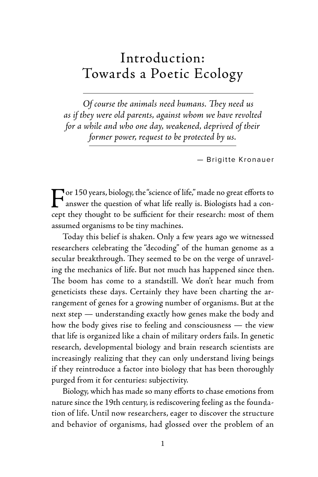## Introduction: Towards a Poetic Ecology

*Of course the animals need humans. They need us as if they were old parents, against whom we have revolted for a while and who one day, weakened, deprived of their former power, request to be protected by us.*

— Brigitte Kronauer

For 150 years, biology, the "science of life," made no great efforts to<br>answer the question of what life really is. Biologists had a con-<br>sent thay thought to be sufficient for their research, most of them answer the question of what life really is. Biologists had a concept they thought to be sufficient for their research: most of them assumed organisms to be tiny machines.

Today this belief is shaken. Only a few years ago we witnessed researchers celebrating the "decoding" of the human genome as a secular breakthrough. They seemed to be on the verge of unraveling the mechanics of life. But not much has happened since then. The boom has come to a standstill. We don't hear much from geneticists these days. Certainly they have been charting the arrangement of genes for a growing number of organisms. But at the next step — understanding exactly how genes make the body and how the body gives rise to feeling and consciousness — the view that life is organized like a chain of military orders fails. In genetic research, developmental biology and brain research scientists are increasingly realizing that they can only understand living beings if they reintroduce a factor into biology that has been thoroughly purged from it for centuries: subjectivity.

Biology, which has made so many efforts to chase emotions from nature since the 19th century, is rediscovering feeling as the foundation of life. Until now researchers, eager to discover the structure and behavior of organisms, had glossed over the problem of an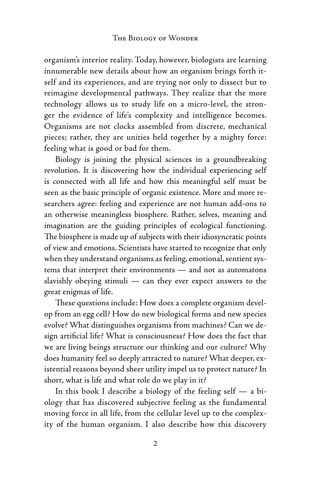organism's interior reality. Today, however, biologists are learning innumerable new details about how an organism brings forth itself and its experiences, and are trying not only to dissect but to reimagine developmental pathways. They realize that the more technology allows us to study life on a micro-level, the stronger the evidence of life's complexity and intelligence becomes. Organisms are not clocks assembled from discrete, mechanical pieces; rather, they are unities held together by a mighty force: feeling what is good or bad for them.

Biology is joining the physical sciences in a groundbreaking revolution. It is discovering how the individual experiencing self is connected with all life and how this meaningful self must be seen as the basic principle of organic existence. More and more researchers agree: feeling and experience are not human add-ons to an otherwise meaningless biosphere. Rather, selves, meaning and imagination are the guiding principles of ecological functioning. The biosphere is made up of subjects with their idiosyncratic points of view and emotions. Scientists have started to recognize that only when they understand organisms as feeling, emotional, sentient systems that interpret their environments — and not as automatons slavishly obeying stimuli — can they ever expect answers to the great enigmas of life.

These questions include: How does a complete organism develop from an egg cell? How do new biological forms and new species evolve? What distinguishes organisms from machines? Can we design artificial life? What is consciousness? How does the fact that we are living beings structure our thinking and our culture? Why does humanity feel so deeply attracted to nature? What deeper, existential reasons beyond sheer utility impel us to protect nature? In short, what is life and what role do we play in it?

In this book I describe a biology of the feeling self  $-$  a biology that has discovered subjective feeling as the fundamental moving force in all life, from the cellular level up to the complexity of the human organism. I also describe how this discovery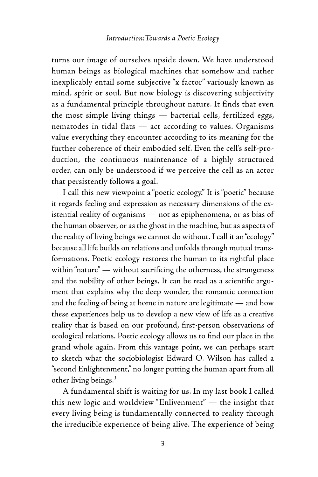turns our image of ourselves upside down. We have understood human beings as biological machines that somehow and rather inexplicably entail some subjective "x factor" variously known as mind, spirit or soul. But now biology is discovering subjectivity as a fundamental principle throughout nature. It finds that even the most simple living things — bacterial cells, fertilized eggs, nematodes in tidal flats — act according to values. Organisms value everything they encounter according to its meaning for the further coherence of their embodied self. Even the cell's self-production, the continuous maintenance of a highly structured order, can only be understood if we perceive the cell as an actor that persistently follows a goal.

I call this new viewpoint a "poetic ecology." It is "poetic" because it regards feeling and expression as necessary dimensions of the existential reality of organisms — not as epiphenomena, or as bias of the human observer, or as the ghost in the machine, but as aspects of the reality of living beings we cannot do without. I call it an "ecology" because all life builds on relations and unfolds through mutual transformations. Poetic ecology restores the human to its rightful place within "nature" - without sacrificing the otherness, the strangeness and the nobility of other beings. It can be read as a scientific argument that explains why the deep wonder, the romantic connection and the feeling of being at home in nature are legitimate — and how these experiences help us to develop a new view of life as a creative reality that is based on our profound, first-person observations of ecological relations. Poetic ecology allows us to find our place in the grand whole again. From this vantage point, we can perhaps start to sketch what the sociobiologist Edward O. Wilson has called a "second Enlightenment," no longer putting the human apart from all other living beings.*<sup>1</sup>*

A fundamental shift is waiting for us. In my last book I called this new logic and worldview "Enlivenment" — the insight that every living being is fundamentally connected to reality through the irreducible experience of being alive. The experience of being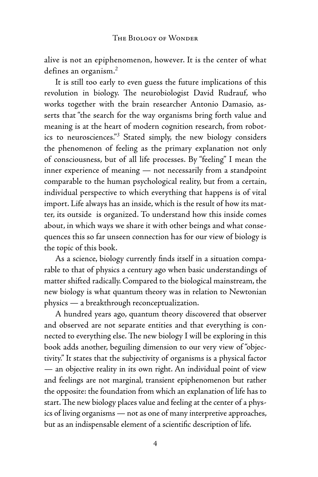alive is not an epiphenomenon, however. It is the center of what defines an organism.*<sup>2</sup>*

It is still too early to even guess the future implications of this revolution in biology. The neurobiologist David Rudrauf, who works together with the brain researcher Antonio Damasio, asserts that "the search for the way organisms bring forth value and meaning is at the heart of modern cognition research, from robotics to neurosciences."*<sup>3</sup>* Stated simply, the new biology considers the phenomenon of feeling as the primary explanation not only of consciousness, but of all life processes. By "feeling" I mean the inner experience of meaning — not necessarily from a standpoint comparable to the human psychological reality, but from a certain, individual perspective to which everything that happens is of vital import. Life always has an inside, which is the result of how its matter, its outside is organized. To understand how this inside comes about, in which ways we share it with other beings and what consequences this so far unseen connection has for our view of biology is the topic of this book.

As a science, biology currently finds itself in a situation comparable to that of physics a century ago when basic understandings of matter shifted radically. Compared to the biological mainstream, the new biology is what quantum theory was in relation to Newtonian physics — a breakthrough reconceptualization.

A hundred years ago, quantum theory discovered that observer and observed are not separate entities and that everything is connected to everything else. The new biology I will be exploring in this book adds another, beguiling dimension to our very view of "objectivity." It states that the subjectivity of organisms is a physical factor — an objective reality in its own right. An individual point of view and feelings are not marginal, transient epiphenomenon but rather the opposite: the foundation from which an explanation of life has to start. The new biology places value and feeling at the center of a physics of living organisms — not as one of many interpretive approaches, but as an indispensable element of a scientific description of life.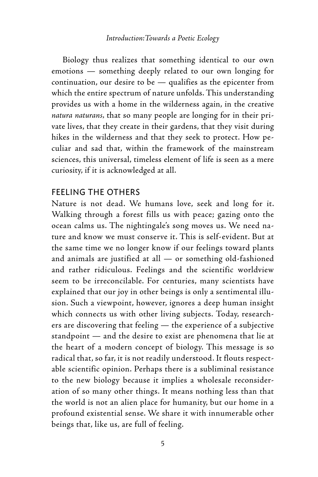Biology thus realizes that something identical to our own emotions — something deeply related to our own longing for continuation, our desire to be — qualifies as the epicenter from which the entire spectrum of nature unfolds. This understanding provides us with a home in the wilderness again, in the creative *natura naturans,* that so many people are longing for in their private lives, that they create in their gardens, that they visit during hikes in the wilderness and that they seek to protect. How peculiar and sad that, within the framework of the mainstream sciences, this universal, timeless element of life is seen as a mere curiosity, if it is acknowledged at all.

## FEELING THE OTHERS

Nature is not dead. We humans love, seek and long for it. Walking through a forest fills us with peace; gazing onto the ocean calms us. The nightingale's song moves us. We need nature and know we must conserve it. This is self-evident. But at the same time we no longer know if our feelings toward plants and animals are justified at all — or something old-fashioned and rather ridiculous. Feelings and the scientific worldview seem to be irreconcilable. For centuries, many scientists have explained that our joy in other beings is only a sentimental illusion. Such a viewpoint, however, ignores a deep human insight which connects us with other living subjects. Today, researchers are discovering that feeling — the experience of a subjective standpoint — and the desire to exist are phenomena that lie at the heart of a modern concept of biology. This message is so radical that, so far, it is not readily understood. It flouts respectable scientific opinion. Perhaps there is a subliminal resistance to the new biology because it implies a wholesale reconsideration of so many other things. It means nothing less than that the world is not an alien place for humanity, but our home in a profound existential sense. We share it with innumerable other beings that, like us, are full of feeling.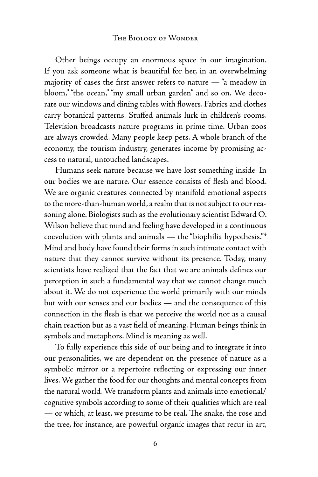Other beings occupy an enormous space in our imagination. If you ask someone what is beautiful for her, in an overwhelming majority of cases the first answer refers to nature — "a meadow in bloom," "the ocean," "my small urban garden" and so on. We decorate our windows and dining tables with flowers. Fabrics and clothes carry botanical patterns. Stuffed animals lurk in children's rooms. Television broadcasts nature programs in prime time. Urban zoos are always crowded. Many people keep pets. A whole branch of the economy, the tourism industry, generates income by promising access to natural, untouched landscapes.

Humans seek nature because we have lost something inside. In our bodies we are nature. Our essence consists of flesh and blood. We are organic creatures connected by manifold emotional aspects to the more-than-human world, a realm that is not subject to our reasoning alone. Biologists such as the evolutionary scientist Edward O. Wilson believe that mind and feeling have developed in a continuous coevolution with plants and animals — the "biophilia hypothesis."*<sup>4</sup>* Mind and body have found their forms in such intimate contact with nature that they cannot survive without its presence. Today, many scientists have realized that the fact that we are animals defines our perception in such a fundamental way that we cannot change much about it. We do not experience the world primarily with our minds but with our senses and our bodies — and the consequence of this connection in the flesh is that we perceive the world not as a causal chain reaction but as a vast field of meaning. Human beings think in symbols and metaphors. Mind is meaning as well.

To fully experience this side of our being and to integrate it into our personalities, we are dependent on the presence of nature as a symbolic mirror or a repertoire reflecting or expressing our inner lives. We gather the food for our thoughts and mental concepts from the natural world. We transform plants and animals into emotional/ cognitive symbols according to some of their qualities which are real - or which, at least, we presume to be real. The snake, the rose and the tree, for instance, are powerful organic images that recur in art,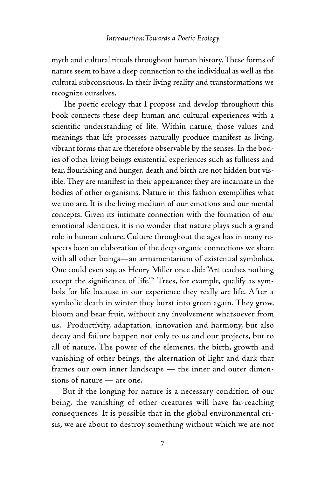myth and cultural rituals throughout human history. These forms of nature seem to have a deep connection to the individual as well as the cultural subconscious. In their living reality and transformations we recognize ourselves.

The poetic ecology that I propose and develop throughout this book connects these deep human and cultural experiences with a scientific understanding of life. Within nature, those values and meanings that life processes naturally produce manifest as living, vibrant forms that are therefore observable by the senses. In the bodies of other living beings existential experiences such as fullness and fear, flourishing and hunger, death and birth are not hidden but visible. They are manifest in their appearance; they are incarnate in the bodies of other organisms. Nature in this fashion exemplifies what we too are. It is the living medium of our emotions and our mental concepts. Given its intimate connection with the formation of our emotional identities, it is no wonder that nature plays such a grand role in human culture. Culture throughout the ages has in many respects been an elaboration of the deep organic connections we share with all other beings—an armamentarium of existential symbolics. One could even say, as Henry Miller once did: "Art teaches nothing except the significance of life."*<sup>5</sup>* Trees, for example, qualify as symbols for life because in our experience they really *are* life. After a symbolic death in winter they burst into green again. They grow, bloom and bear fruit, without any involvement whatsoever from us. Productivity, adaptation, innovation and harmony, but also decay and failure happen not only to us and our projects, but to all of nature. The power of the elements, the birth, growth and vanishing of other beings, the alternation of light and dark that frames our own inner landscape — the inner and outer dimensions of nature — are one.

But if the longing for nature is a necessary condition of our being, the vanishing of other creatures will have far-reaching consequences. It is possible that in the global environmental crisis, we are about to destroy something without which we are not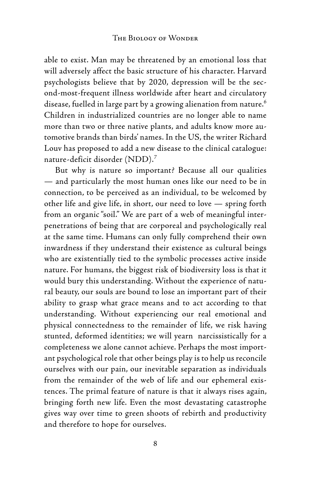able to exist. Man may be threatened by an emotional loss that will adversely affect the basic structure of his character. Harvard psychologists believe that by 2020, depression will be the second-most-frequent illness worldwide after heart and circulatory disease, fuelled in large part by a growing alienation from nature.*<sup>6</sup>* Children in industrialized countries are no longer able to name more than two or three native plants, and adults know more automotive brands than birds' names. In the US, the writer Richard Louv has proposed to add a new disease to the clinical catalogue: nature-deficit disorder (NDD).*<sup>7</sup>*

But why is nature so important? Because all our qualities — and particularly the most human ones like our need to be in connection, to be perceived as an individual, to be welcomed by other life and give life, in short, our need to love — spring forth from an organic "soil." We are part of a web of meaningful interpenetrations of being that are corporeal and psychologically real at the same time. Humans can only fully comprehend their own inwardness if they understand their existence as cultural beings who are existentially tied to the symbolic processes active inside nature. For humans, the biggest risk of biodiversity loss is that it would bury this understanding. Without the experience of natural beauty, our souls are bound to lose an important part of their ability to grasp what grace means and to act according to that understanding. Without experiencing our real emotional and physical connectedness to the remainder of life, we risk having stunted, deformed identities; we will yearn narcissistically for a completeness we alone cannot achieve. Perhaps the most important psychological role that other beings play is to help us reconcile ourselves with our pain, our inevitable separation as individuals from the remainder of the web of life and our ephemeral existences. The primal feature of nature is that it always rises again, bringing forth new life. Even the most devastating catastrophe gives way over time to green shoots of rebirth and productivity and therefore to hope for ourselves.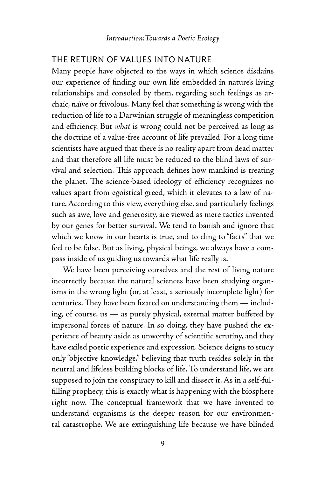## THE RETURN OF VALUES INTO NATURE

Many people have objected to the ways in which science disdains our experience of finding our own life embedded in nature's living relationships and consoled by them, regarding such feelings as archaic, naïve or frivolous. Many feel that something is wrong with the reduction of life to a Darwinian struggle of meaningless competition and efficiency. But *what* is wrong could not be perceived as long as the doctrine of a value-free account of life prevailed. For a long time scientists have argued that there is no reality apart from dead matter and that therefore all life must be reduced to the blind laws of survival and selection. This approach defines how mankind is treating the planet. The science-based ideology of efficiency recognizes no values apart from egoistical greed, which it elevates to a law of nature. According to this view, everything else, and particularly feelings such as awe, love and generosity, are viewed as mere tactics invented by our genes for better survival. We tend to banish and ignore that which we know in our hearts is true, and to cling to "facts" that we feel to be false. But as living, physical beings, we always have a compass inside of us guiding us towards what life really is.

We have been perceiving ourselves and the rest of living nature incorrectly because the natural sciences have been studying organisms in the wrong light (or, at least, a seriously incomplete light) for centuries. They have been fixated on understanding them - including, of course, us — as purely physical, external matter buffeted by impersonal forces of nature. In so doing, they have pushed the experience of beauty aside as unworthy of scientific scrutiny, and they have exiled poetic experience and expression. Science deigns to study only "objective knowledge," believing that truth resides solely in the neutral and lifeless building blocks of life. To understand life, we are supposed to join the conspiracy to kill and dissect it. As in a self-fulfilling prophecy, this is exactly what is happening with the biosphere right now. The conceptual framework that we have invented to understand organisms is the deeper reason for our environmental catastrophe. We are extinguishing life because we have blinded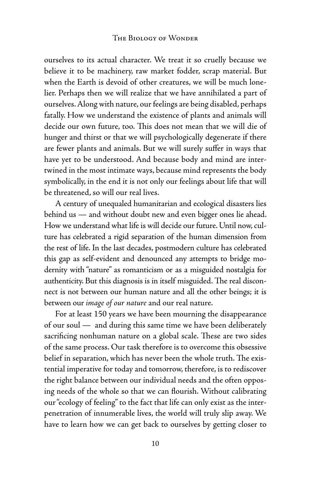ourselves to its actual character. We treat it so cruelly because we believe it to be machinery, raw market fodder, scrap material. But when the Earth is devoid of other creatures, we will be much lonelier. Perhaps then we will realize that we have annihilated a part of ourselves. Along with nature, our feelings are being disabled, perhaps fatally. How we understand the existence of plants and animals will decide our own future, too. This does not mean that we will die of hunger and thirst or that we will psychologically degenerate if there are fewer plants and animals. But we will surely suffer in ways that have yet to be understood. And because body and mind are intertwined in the most intimate ways, because mind represents the body symbolically, in the end it is not only our feelings about life that will be threatened, so will our real lives.

A century of unequaled humanitarian and ecological disasters lies behind us — and without doubt new and even bigger ones lie ahead. How we understand what life is will decide our future. Until now, culture has celebrated a rigid separation of the human dimension from the rest of life. In the last decades, postmodern culture has celebrated this gap as self-evident and denounced any attempts to bridge modernity with "nature" as romanticism or as a misguided nostalgia for authenticity. But this diagnosis is in itself misguided. The real disconnect is not between our human nature and all the other beings; it is between our *image of our nature* and our real nature.

For at least 150 years we have been mourning the disappearance of our soul — and during this same time we have been deliberately sacrificing nonhuman nature on a global scale. These are two sides of the same process. Our task therefore is to overcome this obsessive belief in separation, which has never been the whole truth. The existential imperative for today and tomorrow, therefore, is to rediscover the right balance between our individual needs and the often opposing needs of the whole so that we can flourish. Without calibrating our "ecology of feeling" to the fact that life can only exist as the interpenetration of innumerable lives, the world will truly slip away. We have to learn how we can get back to ourselves by getting closer to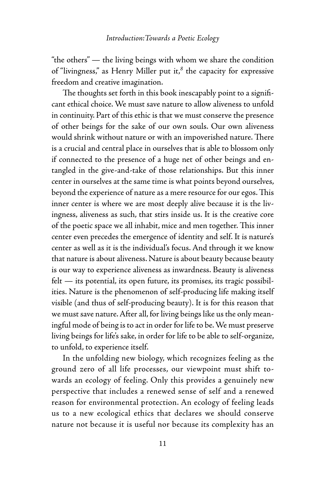"the others" — the living beings with whom we share the condition of "livingness," as Henry Miller put it,*<sup>8</sup>* the capacity for expressive freedom and creative imagination.

The thoughts set forth in this book inescapably point to a significant ethical choice. We must save nature to allow aliveness to unfold in continuity. Part of this ethic is that we must conserve the presence of other beings for the sake of our own souls. Our own aliveness would shrink without nature or with an impoverished nature. There is a crucial and central place in ourselves that is able to blossom only if connected to the presence of a huge net of other beings and entangled in the give-and-take of those relationships. But this inner center in ourselves at the same time is what points beyond ourselves, beyond the experience of nature as a mere resource for our egos. This inner center is where we are most deeply alive because it is the livingness, aliveness as such, that stirs inside us. It is the creative core of the poetic space we all inhabit, mice and men together. This inner center even precedes the emergence of identity and self. It is nature's center as well as it is the individual's focus. And through it we know that nature is about aliveness. Nature is about beauty because beauty is our way to experience aliveness as inwardness. Beauty is aliveness felt — its potential, its open future, its promises, its tragic possibilities. Nature is the phenomenon of self-producing life making itself visible (and thus of self-producing beauty). It is for this reason that we must save nature. After all, for living beings like us the only meaningful mode of being is to act in order for life to be. We must preserve living beings for life's sake, in order for life to be able to self-organize, to unfold, to experience itself.

In the unfolding new biology, which recognizes feeling as the ground zero of all life processes, our viewpoint must shift towards an ecology of feeling. Only this provides a genuinely new perspective that includes a renewed sense of self and a renewed reason for environmental protection. An ecology of feeling leads us to a new ecological ethics that declares we should conserve nature not because it is useful nor because its complexity has an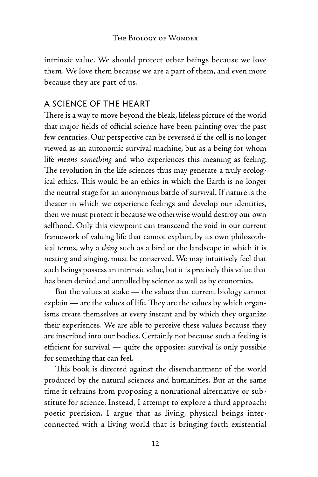intrinsic value. We should protect other beings because we love them. We love them because we are a part of them, and even more because they are part of us.

## A SCIENCE OF THE HEART

There is a way to move beyond the bleak, lifeless picture of the world that major fields of official science have been painting over the past few centuries. Our perspective can be reversed if the cell is no longer viewed as an autonomic survival machine, but as a being for whom life *means something* and who experiences this meaning as feeling. The revolution in the life sciences thus may generate a truly ecological ethics. This would be an ethics in which the Earth is no longer the neutral stage for an anonymous battle of survival. If nature is the theater in which we experience feelings and develop our identities, then we must protect it because we otherwise would destroy our own selfhood. Only this viewpoint can transcend the void in our current framework of valuing life that cannot explain, by its own philosophical terms, why a *thing* such as a bird or the landscape in which it is nesting and singing, must be conserved. We may intuitively feel that such beings possess an intrinsic value, but it is precisely this value that has been denied and annulled by science as well as by economics.

But the values at stake — the values that current biology cannot  $explain$  — are the values of life. They are the values by which organisms create themselves at every instant and by which they organize their experiences. We are able to perceive these values because they are inscribed into our bodies. Certainly not because such a feeling is efficient for survival  $-$  quite the opposite: survival is only possible for something that can feel.

This book is directed against the disenchantment of the world produced by the natural sciences and humanities. But at the same time it refrains from proposing a nonrational alternative or substitute for science. Instead, I attempt to explore a third approach: poetic precision. I argue that as living, physical beings interconnected with a living world that is bringing forth existential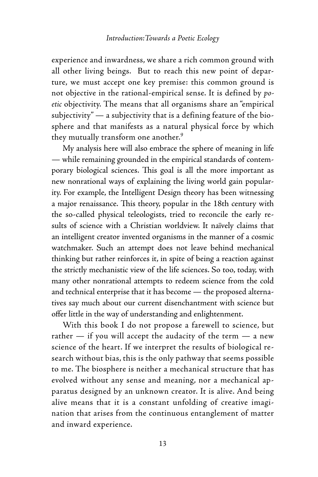experience and inwardness, we share a rich common ground with all other living beings. But to reach this new point of departure, we must accept one key premise: this common ground is not objective in the rational-empirical sense. It is defined by *poetic* objectivity. The means that all organisms share an "empirical subjectivity" — a subjectivity that is a defining feature of the biosphere and that manifests as a natural physical force by which they mutually transform one another.*<sup>9</sup>*

My analysis here will also embrace the sphere of meaning in life — while remaining grounded in the empirical standards of contemporary biological sciences. This goal is all the more important as new nonrational ways of explaining the living world gain popularity. For example, the Intelligent Design theory has been witnessing a major renaissance. This theory, popular in the 18th century with the so-called physical teleologists, tried to reconcile the early results of science with a Christian worldview. It naïvely claims that an intelligent creator invented organisms in the manner of a cosmic watchmaker. Such an attempt does not leave behind mechanical thinking but rather reinforces it, in spite of being a reaction against the strictly mechanistic view of the life sciences. So too, today, with many other nonrational attempts to redeem science from the cold and technical enterprise that it has become — the proposed alternatives say much about our current disenchantment with science but offer little in the way of understanding and enlightenment.

With this book I do not propose a farewell to science, but rather — if you will accept the audacity of the term — a new science of the heart. If we interpret the results of biological research without bias, this is the only pathway that seems possible to me. The biosphere is neither a mechanical structure that has evolved without any sense and meaning, nor a mechanical apparatus designed by an unknown creator. It is alive. And being alive means that it is a constant unfolding of creative imagination that arises from the continuous entanglement of matter and inward experience.